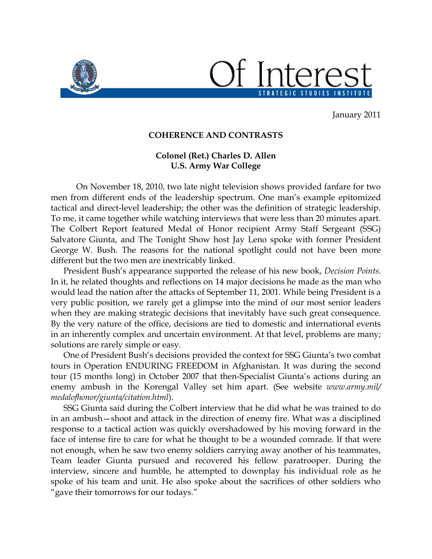

STRATEGIC STUDIES INSTITUTE

January 2011

## **COHERENCE AND CONTRASTS**

## **Colonel (Ret.) Charles D. Allen U.S. Army War College**

On November 18, 2010, two late night television shows provided fanfare for two men from different ends of the leadership spectrum. One man's example epitomized tactical and direct-level leadership; the other was the definition of strategic leadership. To me, it came together while watching interviews that were less than 20 minutes apart. The Colbert Report featured Medal of Honor recipient Army Staff Sergeant (SSG) Salvatore Giunta, and The Tonight Show host Jay Leno spoke with former President George W. Bush. The reasons for the national spotlight could not have been more different but the two men are inextricably linked.

President Bush's appearance supported the release of his new book, *Decision Points*. In it, he related thoughts and reflections on 14 major decisions he made as the man who would lead the nation after the attacks of September 11, 2001. While being President is a very public position, we rarely get a glimpse into the mind of our most senior leaders when they are making strategic decisions that inevitably have such great consequence. By the very nature of the office, decisions are tied to domestic and international events in an inherently complex and uncertain environment. At that level, problems are many; solutions are rarely simple or easy.

One of President Bush's decisions provided the context for SSG Giunta's two combat tours in Operation ENDURING FREEDOM in Afghanistan. It was during the second tour (15 months long) in October 2007 that then-Specialist Giunta's actions during an enemy ambush in the Korengal Valley set him apart. (See website *www.army.mil/ medalofhonor/giunta/citation.html*).

SSG Giunta said during the Colbert interview that he did what he was trained to do in an ambush—shoot and attack in the direction of enemy fire. What was a disciplined response to a tactical action was quickly overshadowed by his moving forward in the face of intense fire to care for what he thought to be a wounded comrade. If that were not enough, when he saw two enemy soldiers carrying away another of his teammates, Team leader Giunta pursued and recovered his fellow paratrooper. During the interview, sincere and humble, he attempted to downplay his individual role as he spoke of his team and unit. He also spoke about the sacrifices of other soldiers who "gave their tomorrows for our todays."